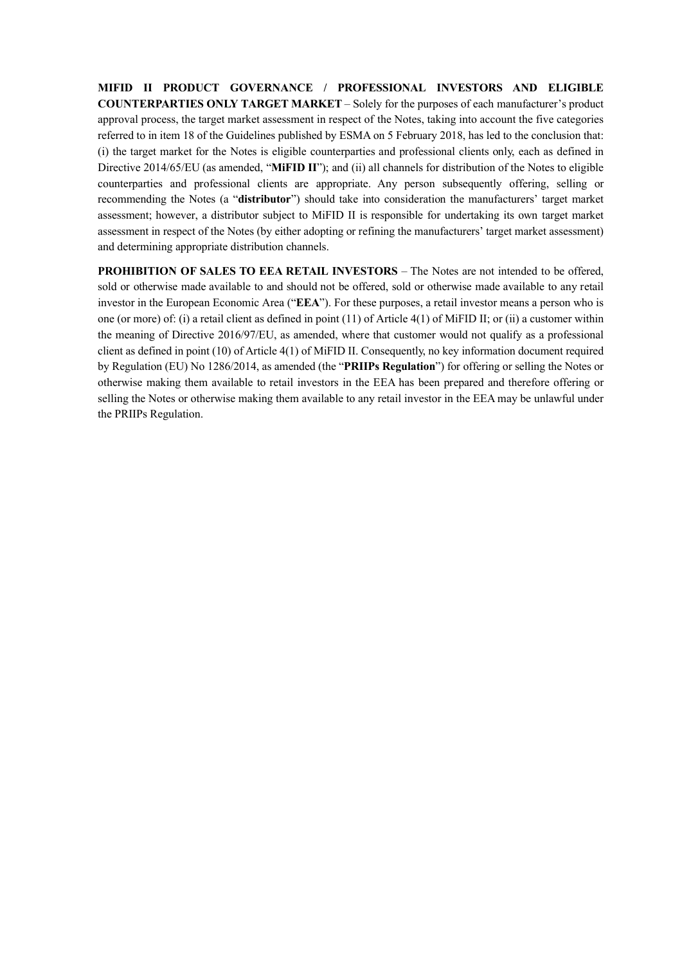**MIFID II PRODUCT GOVERNANCE / PROFESSIONAL INVESTORS AND ELIGIBLE COUNTERPARTIES ONLY TARGET MARKET** – Solely for the purposes of each manufacturer's product approval process, the target market assessment in respect of the Notes, taking into account the five categories referred to in item 18 of the Guidelines published by ESMA on 5 February 2018, has led to the conclusion that: (i) the target market for the Notes is eligible counterparties and professional clients only, each as defined in Directive 2014/65/EU (as amended, "**MiFID II**"); and (ii) all channels for distribution of the Notes to eligible counterparties and professional clients are appropriate. Any person subsequently offering, selling or recommending the Notes (a "**distributor**") should take into consideration the manufacturers' target market assessment; however, a distributor subject to MiFID II is responsible for undertaking its own target market assessment in respect of the Notes (by either adopting or refining the manufacturers' target market assessment) and determining appropriate distribution channels.

**PROHIBITION OF SALES TO EEA RETAIL INVESTORS** – The Notes are not intended to be offered, sold or otherwise made available to and should not be offered, sold or otherwise made available to any retail investor in the European Economic Area ("**EEA**"). For these purposes, a retail investor means a person who is one (or more) of: (i) a retail client as defined in point (11) of Article 4(1) of MiFID II; or (ii) a customer within the meaning of Directive 2016/97/EU, as amended, where that customer would not qualify as a professional client as defined in point (10) of Article 4(1) of MiFID II. Consequently, no key information document required by Regulation (EU) No 1286/2014, as amended (the "**PRIIPs Regulation**") for offering or selling the Notes or otherwise making them available to retail investors in the EEA has been prepared and therefore offering or selling the Notes or otherwise making them available to any retail investor in the EEA may be unlawful under the PRIIPs Regulation.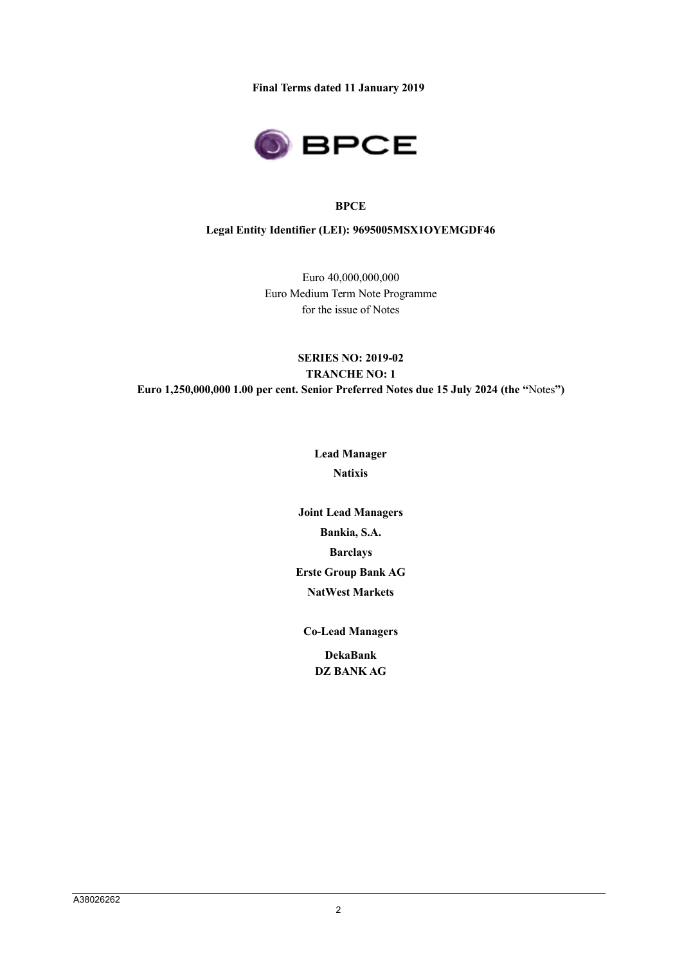**Final Terms dated 11 January 2019**



### **BPCE**

### **Legal Entity Identifier (LEI): 9695005MSX1OYEMGDF46**

Euro 40,000,000,000 Euro Medium Term Note Programme for the issue of Notes

## **SERIES NO: 2019-02 TRANCHE NO: 1 Euro 1,250,000,000 1.00 per cent. Senior Preferred Notes due 15 July 2024 (the "**Notes**")**

**Lead Manager Natixis**

**Joint Lead Managers Bankia, S.A. Barclays Erste Group Bank AG NatWest Markets**

**Co-Lead Managers**

**DekaBank DZ BANK AG**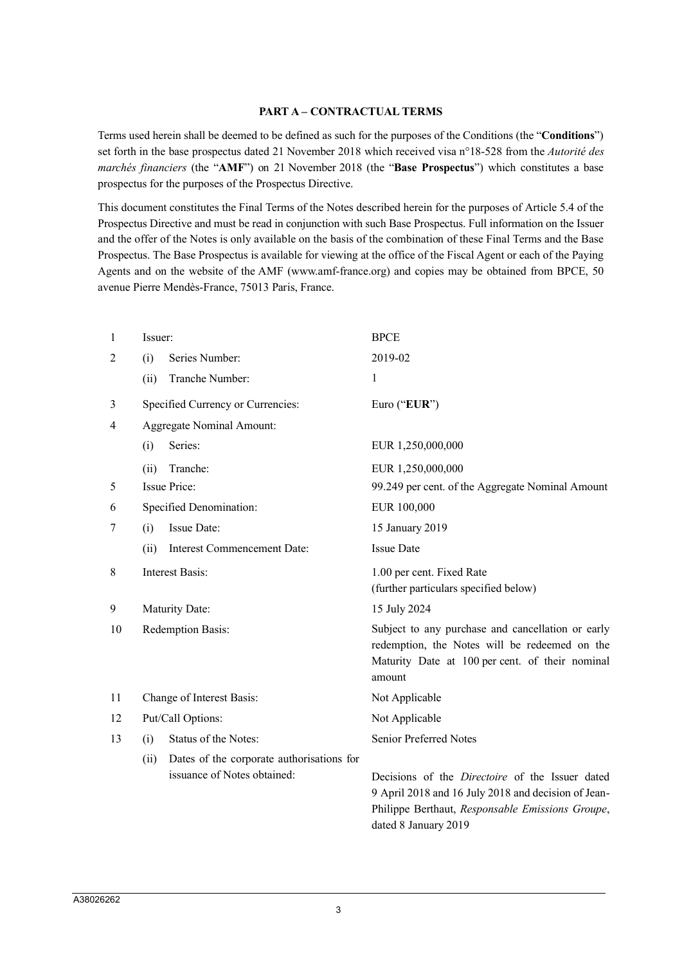#### **PART A – CONTRACTUAL TERMS**

Terms used herein shall be deemed to be defined as such for the purposes of the Conditions (the "**Conditions**") set forth in the base prospectus dated 21 November 2018 which received visa n°18-528 from the *Autorité des marchés financiers* (the "**AMF**") on 21 November 2018 (the "**Base Prospectus**") which constitutes a base prospectus for the purposes of the Prospectus Directive.

This document constitutes the Final Terms of the Notes described herein for the purposes of Article 5.4 of the Prospectus Directive and must be read in conjunction with such Base Prospectus. Full information on the Issuer and the offer of the Notes is only available on the basis of the combination of these Final Terms and the Base Prospectus. The Base Prospectus is available for viewing at the office of the Fiscal Agent or each of the Paying Agents and on the website of the AMF (www.amf-france.org) and copies may be obtained from BPCE, 50 avenue Pierre Mendès-France, 75013 Paris, France.

| 1  | Issuer:           |                                                                          | <b>BPCE</b>                                                                                                                                                                               |  |
|----|-------------------|--------------------------------------------------------------------------|-------------------------------------------------------------------------------------------------------------------------------------------------------------------------------------------|--|
| 2  | (i)               | Series Number:                                                           | 2019-02                                                                                                                                                                                   |  |
|    | (ii)              | Tranche Number:                                                          | 1                                                                                                                                                                                         |  |
| 3  |                   | Specified Currency or Currencies:                                        | Euro ("EUR")                                                                                                                                                                              |  |
| 4  |                   | <b>Aggregate Nominal Amount:</b>                                         |                                                                                                                                                                                           |  |
|    | (i)               | Series:                                                                  | EUR 1,250,000,000                                                                                                                                                                         |  |
|    | (ii)              | Tranche:                                                                 | EUR 1,250,000,000                                                                                                                                                                         |  |
| 5  |                   | <b>Issue Price:</b>                                                      | 99.249 per cent. of the Aggregate Nominal Amount                                                                                                                                          |  |
| 6  |                   | <b>Specified Denomination:</b>                                           | EUR 100,000                                                                                                                                                                               |  |
| 7  | (i)               | <b>Issue Date:</b>                                                       | 15 January 2019                                                                                                                                                                           |  |
|    | (ii)              | Interest Commencement Date:                                              | <b>Issue Date</b>                                                                                                                                                                         |  |
| 8  |                   | <b>Interest Basis:</b>                                                   | 1.00 per cent. Fixed Rate<br>(further particulars specified below)                                                                                                                        |  |
| 9  |                   | Maturity Date:                                                           | 15 July 2024                                                                                                                                                                              |  |
| 10 |                   | Redemption Basis:                                                        | Subject to any purchase and cancellation or early<br>redemption, the Notes will be redeemed on the<br>Maturity Date at 100 per cent. of their nominal<br>amount                           |  |
| 11 |                   | Change of Interest Basis:                                                | Not Applicable                                                                                                                                                                            |  |
| 12 | Put/Call Options: |                                                                          | Not Applicable                                                                                                                                                                            |  |
| 13 | (i)               | Status of the Notes:                                                     | Senior Preferred Notes                                                                                                                                                                    |  |
|    | (ii)              | Dates of the corporate authorisations for<br>issuance of Notes obtained: | Decisions of the <i>Directoire</i> of the Issuer dated<br>9 April 2018 and 16 July 2018 and decision of Jean-<br>Philippe Berthaut, Responsable Emissions Groupe,<br>dated 8 January 2019 |  |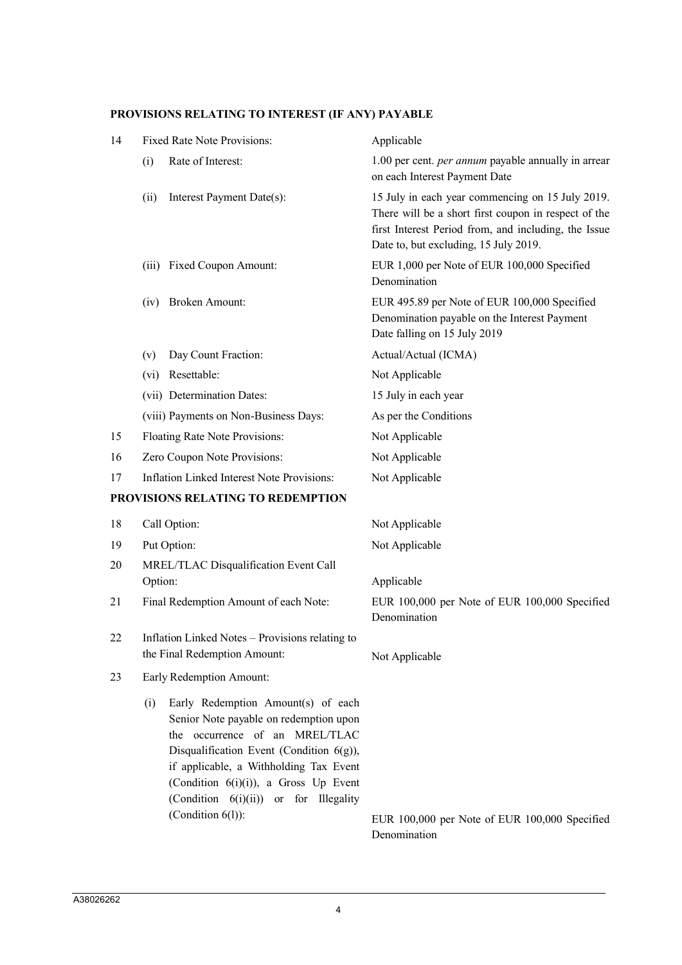# **PROVISIONS RELATING TO INTEREST (IF ANY) PAYABLE**

| 14 | <b>Fixed Rate Note Provisions:</b>                                                                                                                                                                                                                                                                                        | Applicable                                                                                                                                                                                                |
|----|---------------------------------------------------------------------------------------------------------------------------------------------------------------------------------------------------------------------------------------------------------------------------------------------------------------------------|-----------------------------------------------------------------------------------------------------------------------------------------------------------------------------------------------------------|
|    | Rate of Interest:<br>(i)                                                                                                                                                                                                                                                                                                  | 1.00 per cent. per annum payable annually in arrear<br>on each Interest Payment Date                                                                                                                      |
|    | Interest Payment Date(s):<br>(ii)                                                                                                                                                                                                                                                                                         | 15 July in each year commencing on 15 July 2019.<br>There will be a short first coupon in respect of the<br>first Interest Period from, and including, the Issue<br>Date to, but excluding, 15 July 2019. |
|    | (iii) Fixed Coupon Amount:                                                                                                                                                                                                                                                                                                | EUR 1,000 per Note of EUR 100,000 Specified<br>Denomination                                                                                                                                               |
|    | (iv) Broken Amount:                                                                                                                                                                                                                                                                                                       | EUR 495.89 per Note of EUR 100,000 Specified<br>Denomination payable on the Interest Payment<br>Date falling on 15 July 2019                                                                              |
|    | Day Count Fraction:<br>(v)                                                                                                                                                                                                                                                                                                | Actual/Actual (ICMA)                                                                                                                                                                                      |
|    | Resettable:<br>(vi)                                                                                                                                                                                                                                                                                                       | Not Applicable                                                                                                                                                                                            |
|    | (vii) Determination Dates:                                                                                                                                                                                                                                                                                                | 15 July in each year                                                                                                                                                                                      |
|    | (viii) Payments on Non-Business Days:                                                                                                                                                                                                                                                                                     | As per the Conditions                                                                                                                                                                                     |
| 15 | Floating Rate Note Provisions:                                                                                                                                                                                                                                                                                            | Not Applicable                                                                                                                                                                                            |
| 16 | Zero Coupon Note Provisions:                                                                                                                                                                                                                                                                                              | Not Applicable                                                                                                                                                                                            |
| 17 | Inflation Linked Interest Note Provisions:                                                                                                                                                                                                                                                                                | Not Applicable                                                                                                                                                                                            |
|    | PROVISIONS RELATING TO REDEMPTION                                                                                                                                                                                                                                                                                         |                                                                                                                                                                                                           |
| 18 | Call Option:                                                                                                                                                                                                                                                                                                              | Not Applicable                                                                                                                                                                                            |
| 19 | Put Option:                                                                                                                                                                                                                                                                                                               | Not Applicable                                                                                                                                                                                            |
| 20 | MREL/TLAC Disqualification Event Call                                                                                                                                                                                                                                                                                     |                                                                                                                                                                                                           |
|    | Option:                                                                                                                                                                                                                                                                                                                   | Applicable                                                                                                                                                                                                |
| 21 | Final Redemption Amount of each Note:                                                                                                                                                                                                                                                                                     | EUR 100,000 per Note of EUR 100,000 Specified<br>Denomination                                                                                                                                             |
| 22 | Inflation Linked Notes – Provisions relating to<br>the Final Redemption Amount:                                                                                                                                                                                                                                           | Not Applicable                                                                                                                                                                                            |
| 23 | Early Redemption Amount:                                                                                                                                                                                                                                                                                                  |                                                                                                                                                                                                           |
|    | Early Redemption Amount(s) of each<br>(i)<br>Senior Note payable on redemption upon<br>the occurrence of an MREL/TLAC<br>Disqualification Event (Condition $6(g)$ ),<br>if applicable, a Withholding Tax Event<br>(Condition $6(i)(i)$ ), a Gross Up Event<br>(Condition 6(i)(ii)) or for Illegality<br>(Condition 6(1)): | EUR 100,000 per Note of EUR 100,000 Specified                                                                                                                                                             |
|    |                                                                                                                                                                                                                                                                                                                           | Denomination                                                                                                                                                                                              |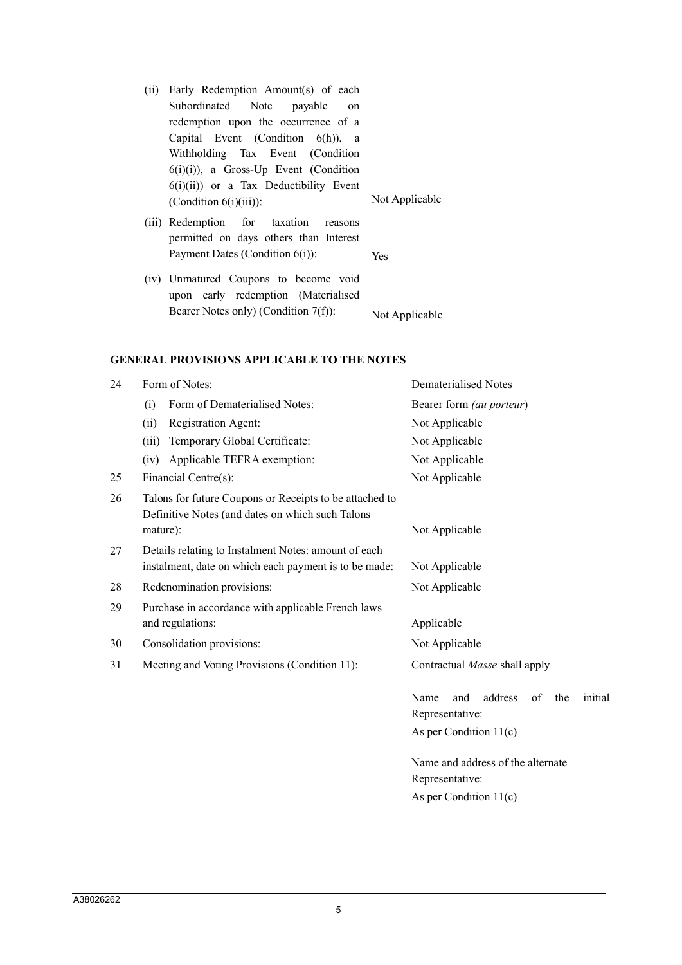(ii) Early Redemption Amount(s) of each Subordinated Note payable on redemption upon the occurrence of a Capital Event (Condition 6(h)), a Withholding Tax Event (Condition  $6(i)(i)$ ), a Gross-Up Event (Condition  $6(i)(ii)$  or a Tax Deductibility Event (Condition 6(i)(iii)): Not Applicable

- (iii) Redemption for taxation reasons permitted on days others than Interest Payment Dates (Condition 6(i)): Yes
- (iv) Unmatured Coupons to become void upon early redemption (Materialised Bearer Notes only) (Condition 7(f)): Not Applicable

### **GENERAL PROVISIONS APPLICABLE TO THE NOTES**

| 24 | Form of Notes:                                                                                                          | <b>Dematerialised Notes</b>                                                                   |  |  |
|----|-------------------------------------------------------------------------------------------------------------------------|-----------------------------------------------------------------------------------------------|--|--|
|    | Form of Dematerialised Notes:<br>(i)                                                                                    | Bearer form (au porteur)                                                                      |  |  |
|    | Registration Agent:<br>(ii)                                                                                             | Not Applicable                                                                                |  |  |
|    | Temporary Global Certificate:<br>(iii)                                                                                  | Not Applicable                                                                                |  |  |
|    | Applicable TEFRA exemption:<br>(iv)                                                                                     | Not Applicable                                                                                |  |  |
| 25 | Financial Centre(s):                                                                                                    | Not Applicable                                                                                |  |  |
| 26 | Talons for future Coupons or Receipts to be attached to<br>Definitive Notes (and dates on which such Talons<br>mature): | Not Applicable                                                                                |  |  |
| 27 | Details relating to Instalment Notes: amount of each<br>instalment, date on which each payment is to be made:           | Not Applicable                                                                                |  |  |
| 28 | Redenomination provisions:                                                                                              | Not Applicable                                                                                |  |  |
| 29 | Purchase in accordance with applicable French laws<br>and regulations:                                                  | Applicable                                                                                    |  |  |
| 30 | Consolidation provisions:                                                                                               | Not Applicable                                                                                |  |  |
| 31 | Meeting and Voting Provisions (Condition 11):                                                                           | Contractual Masse shall apply                                                                 |  |  |
|    |                                                                                                                         | address<br>of<br>initial<br>Name<br>and<br>the<br>Representative:<br>As per Condition $11(c)$ |  |  |
|    |                                                                                                                         | Name and address of the alternate<br>Representative:<br>As per Condition $11(c)$              |  |  |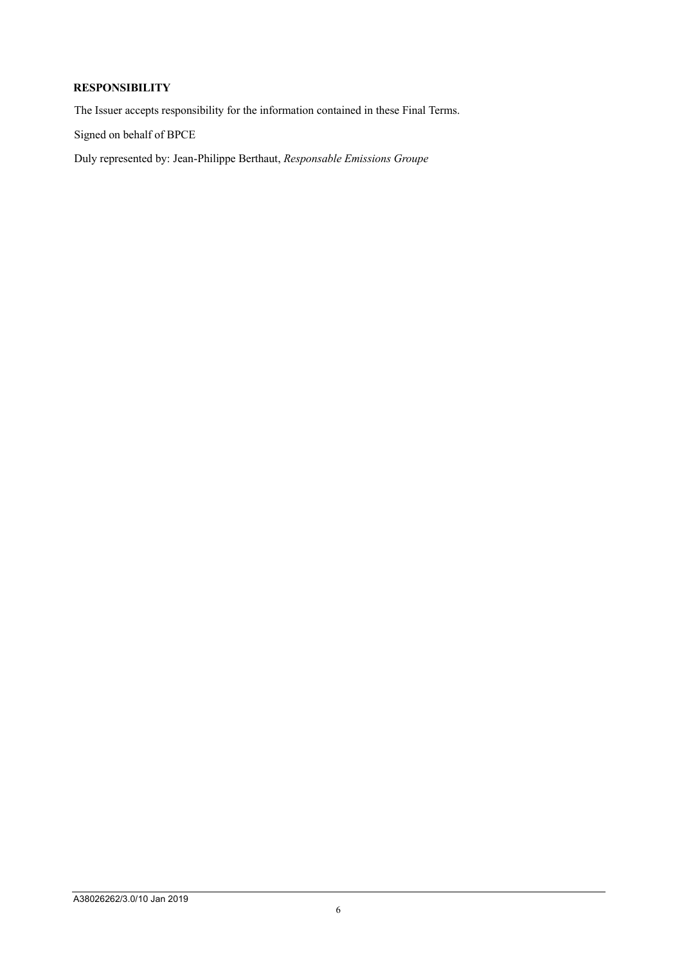### **RESPONSIBILITY**

The Issuer accepts responsibility for the information contained in these Final Terms.

Signed on behalf of BPCE

Duly represented by: Jean-Philippe Berthaut, *Responsable Emissions Groupe*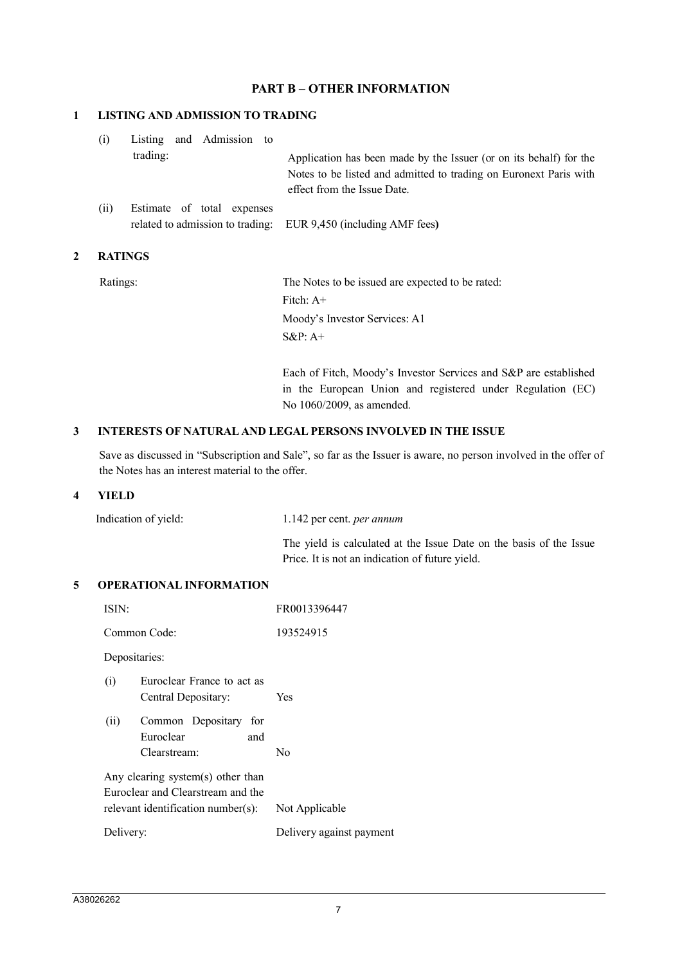### **PART B – OTHER INFORMATION**

#### **1 LISTING AND ADMISSION TO TRADING**

| (i)  | Listing and Admission to   |  |  |                                                                    |
|------|----------------------------|--|--|--------------------------------------------------------------------|
|      | trading:                   |  |  | Application has been made by the Issuer (or on its behalf) for the |
|      |                            |  |  | Notes to be listed and admitted to trading on Euronext Paris with  |
|      |                            |  |  | effect from the Issue Date.                                        |
| (ii) | Estimate of total expenses |  |  |                                                                    |

related to admission to trading: EUR 9,450 (including AMF fees**)**

### **2 RATINGS**

Ratings: The Notes to be issued are expected to be rated: Fitch: A+ Moody's Investor Services: A1 S&P: A+

> Each of Fitch, Moody's Investor Services and S&P are established in the European Union and registered under Regulation (EC) No 1060/2009, as amended.

#### **3 INTERESTS OF NATURAL AND LEGAL PERSONS INVOLVED IN THE ISSUE**

Save as discussed in "Subscription and Sale", so far as the Issuer is aware, no person involved in the offer of the Notes has an interest material to the offer.

#### **4 YIELD**

| Indication of yield: | 1.142 per cent. <i>per annum</i>                                    |
|----------------------|---------------------------------------------------------------------|
|                      | The yield is calculated at the Issue Date on the basis of the Issue |
|                      | Price. It is not an indication of future yield.                     |

#### **5 OPERATIONAL INFORMATION**

| ISIN:                                                                                                                          |                                                           | FR0013396447             |  |
|--------------------------------------------------------------------------------------------------------------------------------|-----------------------------------------------------------|--------------------------|--|
|                                                                                                                                | Common Code:                                              | 193524915                |  |
|                                                                                                                                | Depositaries:                                             |                          |  |
| (i)                                                                                                                            | Euroclear France to act as<br>Central Depositary:         | Yes                      |  |
| (ii)                                                                                                                           | Common Depositary for<br>Euroclear<br>and<br>Clearstream: | No                       |  |
| Any clearing system(s) other than<br>Euroclear and Clearstream and the<br>relevant identification number(s):<br>Not Applicable |                                                           |                          |  |
| Delivery:                                                                                                                      |                                                           | Delivery against payment |  |